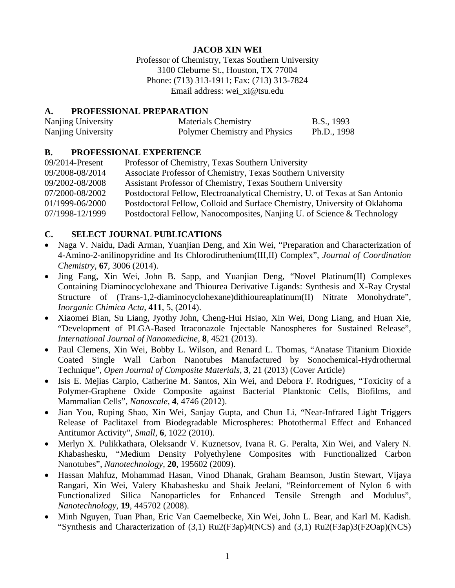# **JACOB XIN WEI**

Professor of Chemistry, Texas Southern University 3100 Cleburne St., Houston, TX 77004 Phone: (713) 313-1911; Fax: (713) 313-7824 Email address: wei\_xi@tsu.edu

#### **A. PROFESSIONAL PREPARATION**

| Nanjing University | <b>Materials Chemistry</b>    | B.S., 1993  |
|--------------------|-------------------------------|-------------|
| Nanjing University | Polymer Chemistry and Physics | Ph.D., 1998 |

#### **B. PROFESSIONAL EXPERIENCE**

| $09/2014$ -Present | Professor of Chemistry, Texas Southern University                            |
|--------------------|------------------------------------------------------------------------------|
| 09/2008-08/2014    | Associate Professor of Chemistry, Texas Southern University                  |
| 09/2002-08/2008    | Assistant Professor of Chemistry, Texas Southern University                  |
| 07/2000-08/2002    | Postdoctoral Fellow, Electroanalytical Chemistry, U. of Texas at San Antonio |
| 01/1999-06/2000    | Postdoctoral Fellow, Colloid and Surface Chemistry, University of Oklahoma   |
| 07/1998-12/1999    | Postdoctoral Fellow, Nanocomposites, Nanjing U. of Science & Technology      |

## **C. SELECT JOURNAL PUBLICATIONS**

- Naga V. Naidu, Dadi Arman, Yuanjian Deng, and Xin Wei, "Preparation and Characterization of 4-Amino-2-anilinopyridine and Its Chlorodiruthenium(III,II) Complex", *Journal of Coordination Chemistry*, **67**, 3006 (2014).
- Jing Fang, Xin Wei, John B. Sapp, and Yuanjian Deng, "Novel Platinum(II) Complexes Containing Diaminocyclohexane and Thiourea Derivative Ligands: Synthesis and X-Ray Crystal Structure of (Trans-1,2-diaminocyclohexane)dithioureaplatinum(II) Nitrate Monohydrate", *Inorganic Chimica Acta*, **411**, 5, (2014).
- Xiaomei Bian, Su Liang, Jyothy John, Cheng-Hui Hsiao, Xin Wei, Dong Liang, and Huan Xie, "Development of PLGA-Based Itraconazole Injectable Nanospheres for Sustained Release", *International Journal of Nanomedicine*, **8**, 4521 (2013).
- Paul Clemens, Xin Wei, Bobby L. Wilson, and Renard L. Thomas, "Anatase Titanium Dioxide Coated Single Wall Carbon Nanotubes Manufactured by Sonochemical-Hydrothermal Technique", *Open Journal of Composite Materials*, **3**, 21 (2013) (Cover Article)
- Isis E. Mejias Carpio, Catherine M. Santos, Xin Wei, and Debora F. Rodrigues, "Toxicity of a Polymer-Graphene Oxide Composite against Bacterial Planktonic Cells, Biofilms, and Mammalian Cells", *Nanoscale*, **4**, 4746 (2012).
- Jian You, Ruping Shao, Xin Wei, Sanjay Gupta, and Chun Li, "Near-Infrared Light Triggers Release of Paclitaxel from Biodegradable Microspheres: Photothermal Effect and Enhanced Antitumor Activity", *Small*, **6**, 1022 (2010).
- Merlyn X. Pulikkathara, Oleksandr V. Kuznetsov, Ivana R. G. Peralta, Xin Wei, and Valery N. Khabashesku, "Medium Density Polyethylene Composites with Functionalized Carbon Nanotubes", *Nanotechnology*, **20**, 195602 (2009).
- Hassan Mahfuz, Mohammad Hasan, Vinod Dhanak, Graham Beamson, Justin Stewart, Vijaya Rangari, Xin Wei, Valery Khabashesku and Shaik Jeelani, "Reinforcement of Nylon 6 with Functionalized Silica Nanoparticles for Enhanced Tensile Strength and Modulus", *Nanotechnology*, **19**, 445702 (2008).
- Minh Nguyen, Tuan Phan, Eric Van Caemelbecke, Xin Wei, John L. Bear, and Karl M. Kadish. "Synthesis and Characterization of (3,1) Ru2(F3ap)4(NCS) and (3,1) Ru2(F3ap)3(F2Oap)(NCS)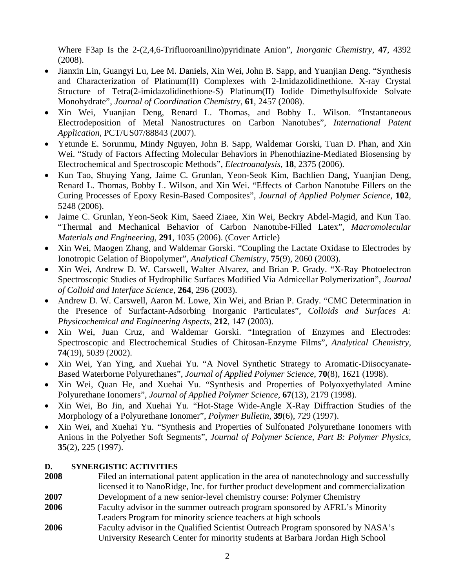Where F3ap Is the 2-(2,4,6-Trifluoroanilino)pyridinate Anion", *Inorganic Chemistry*, **47**, 4392 (2008).

- Jianxin Lin, Guangyi Lu, Lee M. Daniels, Xin Wei, John B. Sapp, and Yuanjian Deng. "Synthesis and Characterization of Platinum(II) Complexes with 2-Imidazolidinethione. X-ray Crystal Structure of Tetra(2-imidazolidinethione-S) Platinum(II) Iodide Dimethylsulfoxide Solvate Monohydrate", *Journal of Coordination Chemistry*, **61**, 2457 (2008).
- Xin Wei, Yuanjian Deng, Renard L. Thomas, and Bobby L. Wilson. "Instantaneous Electrodeposition of Metal Nanostructures on Carbon Nanotubes", *International Patent Application*, PCT/US07/88843 (2007).
- Yetunde E. Sorunmu, Mindy Nguyen, John B. Sapp, Waldemar Gorski, Tuan D. Phan, and Xin Wei. "Study of Factors Affecting Molecular Behaviors in Phenothiazine-Mediated Biosensing by Electrochemical and Spectroscopic Methods", *Electroanalysis*, **18**, 2375 (2006).
- Kun Tao, Shuying Yang, Jaime C. Grunlan, Yeon-Seok Kim, Bachlien Dang, Yuanjian Deng, Renard L. Thomas, Bobby L. Wilson, and Xin Wei. "Effects of Carbon Nanotube Fillers on the Curing Processes of Epoxy Resin-Based Composites", *Journal of Applied Polymer Science*, **102**, 5248 (2006).
- Jaime C. Grunlan, Yeon-Seok Kim, Saeed Ziaee, Xin Wei, Beckry Abdel-Magid, and Kun Tao. "Thermal and Mechanical Behavior of Carbon Nanotube-Filled Latex", *Macromolecular Materials and Engineering*, **291**, 1035 (2006). (Cover Article)
- Xin Wei, Maogen Zhang, and Waldemar Gorski. "Coupling the Lactate Oxidase to Electrodes by Ionotropic Gelation of Biopolymer", *Analytical Chemistry*, **75**(9), 2060 (2003).
- Xin Wei, Andrew D. W. Carswell, Walter Alvarez, and Brian P. Grady. "X-Ray Photoelectron Spectroscopic Studies of Hydrophilic Surfaces Modified Via Admicellar Polymerization", *Journal of Colloid and Interface Science*, **264**, 296 (2003).
- Andrew D. W. Carswell, Aaron M. Lowe, Xin Wei, and Brian P. Grady. "CMC Determination in the Presence of Surfactant-Adsorbing Inorganic Particulates", *Colloids and Surfaces A: Physicochemical and Engineering Aspects*, **212**, 147 (2003).
- Xin Wei, Juan Cruz, and Waldemar Gorski. "Integration of Enzymes and Electrodes: Spectroscopic and Electrochemical Studies of Chitosan-Enzyme Films", *Analytical Chemistry*, **74**(19), 5039 (2002).
- Xin Wei, Yan Ying, and Xuehai Yu. "A Novel Synthetic Strategy to Aromatic-Diisocyanate-Based Waterborne Polyurethanes", *Journal of Applied Polymer Science*, **70**(8), 1621 (1998).
- Xin Wei, Quan He, and Xuehai Yu. "Synthesis and Properties of Polyoxyethylated Amine Polyurethane Ionomers", *Journal of Applied Polymer Science*, **67**(13), 2179 (1998).
- Xin Wei, Bo Jin, and Xuehai Yu. "Hot-Stage Wide-Angle X-Ray Diffraction Studies of the Morphology of a Polyurethane Ionomer", *Polymer Bulletin*, **39**(6), 729 (1997).
- Xin Wei, and Xuehai Yu. "Synthesis and Properties of Sulfonated Polyurethane Ionomers with Anions in the Polyether Soft Segments", *Journal of Polymer Science, Part B: Polymer Physics*, **35**(2), 225 (1997).

## **D. SYNERGISTIC ACTIVITIES**

- **2008** Filed an international patent application in the area of nanotechnology and successfully licensed it to NanoRidge, Inc. for further product development and commercialization **2007** Development of a new senior-level chemistry course: Polymer Chemistry **2006** Faculty advisor in the summer outreach program sponsored by AFRL's Minority Leaders Program for minority science teachers at high schools
- **2006** Faculty advisor in the Qualified Scientist Outreach Program sponsored by NASA's University Research Center for minority students at Barbara Jordan High School